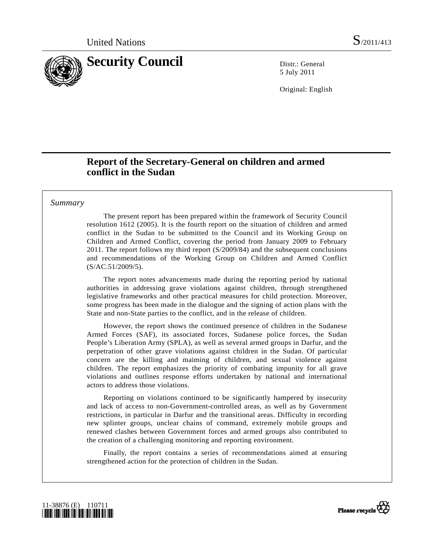

5 July 2011

Original: English

# **Report of the Secretary-General on children and armed conflict in the Sudan**

## *Summary*

 The present report has been prepared within the framework of Security Council resolution 1612 (2005). It is the fourth report on the situation of children and armed conflict in the Sudan to be submitted to the Council and its Working Group on Children and Armed Conflict, covering the period from January 2009 to February 2011. The report follows my third report (S/2009/84) and the subsequent conclusions and recommendations of the Working Group on Children and Armed Conflict (S/AC.51/2009/5).

 The report notes advancements made during the reporting period by national authorities in addressing grave violations against children, through strengthened legislative frameworks and other practical measures for child protection. Moreover, some progress has been made in the dialogue and the signing of action plans with the State and non-State parties to the conflict, and in the release of children.

 However, the report shows the continued presence of children in the Sudanese Armed Forces (SAF), its associated forces, Sudanese police forces, the Sudan People's Liberation Army (SPLA), as well as several armed groups in Darfur, and the perpetration of other grave violations against children in the Sudan. Of particular concern are the killing and maiming of children, and sexual violence against children. The report emphasizes the priority of combating impunity for all grave violations and outlines response efforts undertaken by national and international actors to address those violations.

 Reporting on violations continued to be significantly hampered by insecurity and lack of access to non-Government-controlled areas, as well as by Government restrictions, in particular in Darfur and the transitional areas. Difficulty in recording new splinter groups, unclear chains of command, extremely mobile groups and renewed clashes between Government forces and armed groups also contributed to the creation of a challenging monitoring and reporting environment.

 Finally, the report contains a series of recommendations aimed at ensuring strengthened action for the protection of children in the Sudan.



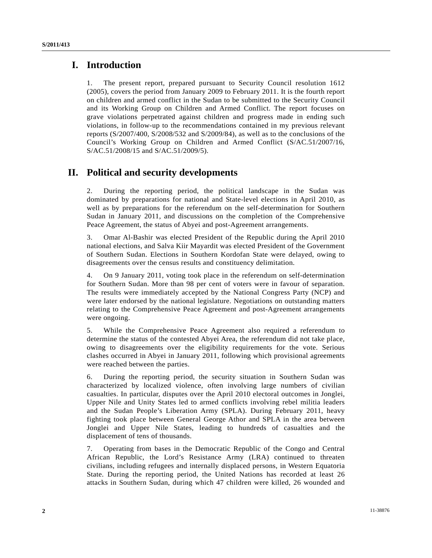# **I. Introduction**

1. The present report, prepared pursuant to Security Council resolution 1612 (2005), covers the period from January 2009 to February 2011. It is the fourth report on children and armed conflict in the Sudan to be submitted to the Security Council and its Working Group on Children and Armed Conflict. The report focuses on grave violations perpetrated against children and progress made in ending such violations, in follow-up to the recommendations contained in my previous relevant reports (S/2007/400, S/2008/532 and S/2009/84), as well as to the conclusions of the Council's Working Group on Children and Armed Conflict (S/AC.51/2007/16, S/AC.51/2008/15 and S/AC.51/2009/5).

# **II. Political and security developments**

2. During the reporting period, the political landscape in the Sudan was dominated by preparations for national and State-level elections in April 2010, as well as by preparations for the referendum on the self-determination for Southern Sudan in January 2011, and discussions on the completion of the Comprehensive Peace Agreement, the status of Abyei and post-Agreement arrangements.

3. Omar Al-Bashir was elected President of the Republic during the April 2010 national elections, and Salva Kiir Mayardit was elected President of the Government of Southern Sudan. Elections in Southern Kordofan State were delayed, owing to disagreements over the census results and constituency delimitation.

4. On 9 January 2011, voting took place in the referendum on self-determination for Southern Sudan. More than 98 per cent of voters were in favour of separation. The results were immediately accepted by the National Congress Party (NCP) and were later endorsed by the national legislature. Negotiations on outstanding matters relating to the Comprehensive Peace Agreement and post-Agreement arrangements were ongoing.

5. While the Comprehensive Peace Agreement also required a referendum to determine the status of the contested Abyei Area, the referendum did not take place, owing to disagreements over the eligibility requirements for the vote. Serious clashes occurred in Abyei in January 2011, following which provisional agreements were reached between the parties.

6. During the reporting period, the security situation in Southern Sudan was characterized by localized violence, often involving large numbers of civilian casualties. In particular, disputes over the April 2010 electoral outcomes in Jonglei, Upper Nile and Unity States led to armed conflicts involving rebel militia leaders and the Sudan People's Liberation Army (SPLA). During February 2011, heavy fighting took place between General George Athor and SPLA in the area between Jonglei and Upper Nile States, leading to hundreds of casualties and the displacement of tens of thousands.

7. Operating from bases in the Democratic Republic of the Congo and Central African Republic, the Lord's Resistance Army (LRA) continued to threaten civilians, including refugees and internally displaced persons, in Western Equatoria State. During the reporting period, the United Nations has recorded at least 26 attacks in Southern Sudan, during which 47 children were killed, 26 wounded and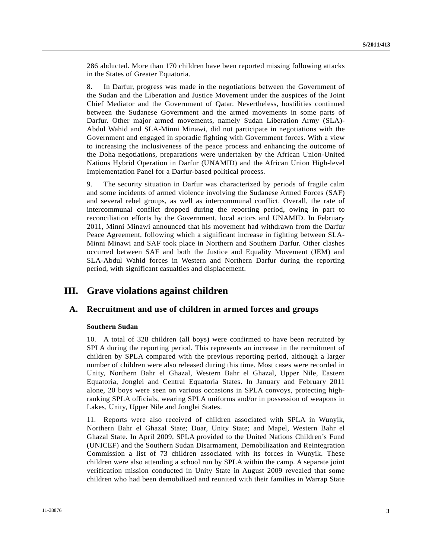286 abducted. More than 170 children have been reported missing following attacks in the States of Greater Equatoria.

8. In Darfur, progress was made in the negotiations between the Government of the Sudan and the Liberation and Justice Movement under the auspices of the Joint Chief Mediator and the Government of Qatar. Nevertheless, hostilities continued between the Sudanese Government and the armed movements in some parts of Darfur. Other major armed movements, namely Sudan Liberation Army (SLA)- Abdul Wahid and SLA-Minni Minawi, did not participate in negotiations with the Government and engaged in sporadic fighting with Government forces. With a view to increasing the inclusiveness of the peace process and enhancing the outcome of the Doha negotiations, preparations were undertaken by the African Union-United Nations Hybrid Operation in Darfur (UNAMID) and the African Union High-level Implementation Panel for a Darfur-based political process.

9. The security situation in Darfur was characterized by periods of fragile calm and some incidents of armed violence involving the Sudanese Armed Forces (SAF) and several rebel groups, as well as intercommunal conflict. Overall, the rate of intercommunal conflict dropped during the reporting period, owing in part to reconciliation efforts by the Government, local actors and UNAMID. In February 2011, Minni Minawi announced that his movement had withdrawn from the Darfur Peace Agreement, following which a significant increase in fighting between SLA-Minni Minawi and SAF took place in Northern and Southern Darfur. Other clashes occurred between SAF and both the Justice and Equality Movement (JEM) and SLA-Abdul Wahid forces in Western and Northern Darfur during the reporting period, with significant casualties and displacement.

# **III. Grave violations against children**

# **A. Recruitment and use of children in armed forces and groups**

#### **Southern Sudan**

10. A total of 328 children (all boys) were confirmed to have been recruited by SPLA during the reporting period. This represents an increase in the recruitment of children by SPLA compared with the previous reporting period, although a larger number of children were also released during this time. Most cases were recorded in Unity, Northern Bahr el Ghazal, Western Bahr el Ghazal, Upper Nile, Eastern Equatoria, Jonglei and Central Equatoria States. In January and February 2011 alone, 20 boys were seen on various occasions in SPLA convoys, protecting highranking SPLA officials, wearing SPLA uniforms and/or in possession of weapons in Lakes, Unity, Upper Nile and Jonglei States.

11. Reports were also received of children associated with SPLA in Wunyik, Northern Bahr el Ghazal State; Duar, Unity State; and Mapel, Western Bahr el Ghazal State. In April 2009, SPLA provided to the United Nations Children's Fund (UNICEF) and the Southern Sudan Disarmament, Demobilization and Reintegration Commission a list of 73 children associated with its forces in Wunyik. These children were also attending a school run by SPLA within the camp. A separate joint verification mission conducted in Unity State in August 2009 revealed that some children who had been demobilized and reunited with their families in Warrap State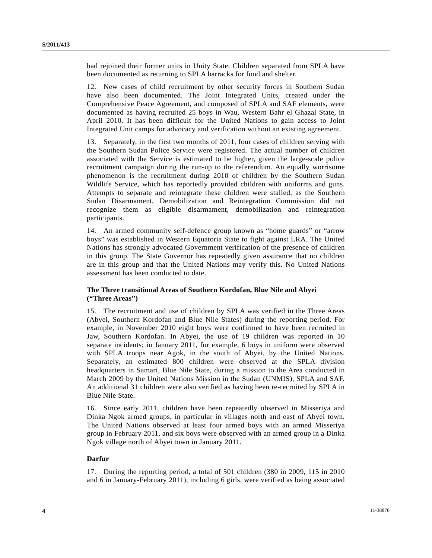had rejoined their former units in Unity State. Children separated from SPLA have been documented as returning to SPLA barracks for food and shelter.

12. New cases of child recruitment by other security forces in Southern Sudan have also been documented. The Joint Integrated Units, created under the Comprehensive Peace Agreement, and composed of SPLA and SAF elements, were documented as having recruited 25 boys in Wau, Western Bahr el Ghazal State, in April 2010. It has been difficult for the United Nations to gain access to Joint Integrated Unit camps for advocacy and verification without an existing agreement.

13. Separately, in the first two months of 2011, four cases of children serving with the Southern Sudan Police Service were registered. The actual number of children associated with the Service is estimated to be higher, given the large-scale police recruitment campaign during the run-up to the referendum. An equally worrisome phenomenon is the recruitment during 2010 of children by the Southern Sudan Wildlife Service, which has reportedly provided children with uniforms and guns. Attempts to separate and reintegrate these children were stalled, as the Southern Sudan Disarmament, Demobilization and Reintegration Commission did not recognize them as eligible disarmament, demobilization and reintegration participants.

14. An armed community self-defence group known as "home guards" or "arrow boys" was established in Western Equatoria State to fight against LRA. The United Nations has strongly advocated Government verification of the presence of children in this group. The State Governor has repeatedly given assurance that no children are in this group and that the United Nations may verify this. No United Nations assessment has been conducted to date.

## **The Three transitional Areas of Southern Kordofan, Blue Nile and Abyei ("Three Areas")**

15. The recruitment and use of children by SPLA was verified in the Three Areas (Abyei, Southern Kordofan and Blue Nile States) during the reporting period. For example, in November 2010 eight boys were confirmed to have been recruited in Jaw, Southern Kordofan. In Abyei, the use of 19 children was reported in 10 separate incidents; in January 2011, for example, 6 boys in uniform were observed with SPLA troops near Agok, in the south of Abyei, by the United Nations. Separately, an estimated 800 children were observed at the SPLA division headquarters in Samari, Blue Nile State, during a mission to the Area conducted in March 2009 by the United Nations Mission in the Sudan (UNMIS), SPLA and SAF. An additional 31 children were also verified as having been re-recruited by SPLA in Blue Nile State.

16. Since early 2011, children have been repeatedly observed in Misseriya and Dinka Ngok armed groups, in particular in villages north and east of Abyei town. The United Nations observed at least four armed boys with an armed Misseriya group in February 2011, and six boys were observed with an armed group in a Dinka Ngok village north of Abyei town in January 2011.

## **Darfur**

17. During the reporting period, a total of 501 children (380 in 2009, 115 in 2010 and 6 in January-February 2011), including 6 girls, were verified as being associated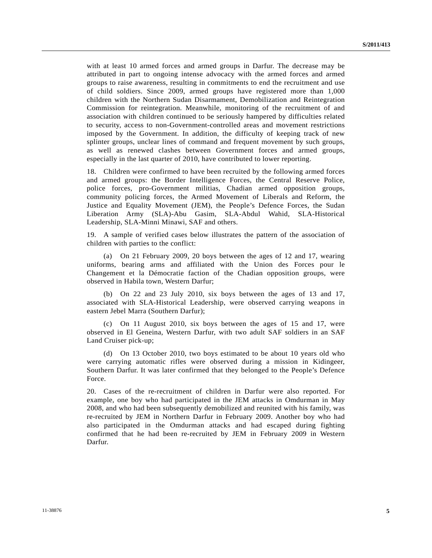with at least 10 armed forces and armed groups in Darfur. The decrease may be attributed in part to ongoing intense advocacy with the armed forces and armed groups to raise awareness, resulting in commitments to end the recruitment and use of child soldiers. Since 2009, armed groups have registered more than 1,000 children with the Northern Sudan Disarmament, Demobilization and Reintegration Commission for reintegration. Meanwhile, monitoring of the recruitment of and association with children continued to be seriously hampered by difficulties related to security, access to non-Government-controlled areas and movement restrictions imposed by the Government. In addition, the difficulty of keeping track of new splinter groups, unclear lines of command and frequent movement by such groups, as well as renewed clashes between Government forces and armed groups, especially in the last quarter of 2010, have contributed to lower reporting.

18. Children were confirmed to have been recruited by the following armed forces and armed groups: the Border Intelligence Forces, the Central Reserve Police, police forces, pro-Government militias, Chadian armed opposition groups, community policing forces, the Armed Movement of Liberals and Reform, the Justice and Equality Movement (JEM), the People's Defence Forces, the Sudan Liberation Army (SLA)-Abu Gasim, SLA-Abdul Wahid, SLA-Historical Leadership, SLA-Minni Minawi, SAF and others.

19. A sample of verified cases below illustrates the pattern of the association of children with parties to the conflict:

 (a) On 21 February 2009, 20 boys between the ages of 12 and 17, wearing uniforms, bearing arms and affiliated with the Union des Forces pour le Changement et la Démocratie faction of the Chadian opposition groups, were observed in Habila town, Western Darfur;

 (b) On 22 and 23 July 2010, six boys between the ages of 13 and 17, associated with SLA-Historical Leadership, were observed carrying weapons in eastern Jebel Marra (Southern Darfur);

 (c) On 11 August 2010, six boys between the ages of 15 and 17, were observed in El Geneina, Western Darfur, with two adult SAF soldiers in an SAF Land Cruiser pick-up;

 (d) On 13 October 2010, two boys estimated to be about 10 years old who were carrying automatic rifles were observed during a mission in Kidingeer, Southern Darfur. It was later confirmed that they belonged to the People's Defence Force.

20. Cases of the re-recruitment of children in Darfur were also reported. For example, one boy who had participated in the JEM attacks in Omdurman in May 2008, and who had been subsequently demobilized and reunited with his family, was re-recruited by JEM in Northern Darfur in February 2009. Another boy who had also participated in the Omdurman attacks and had escaped during fighting confirmed that he had been re-recruited by JEM in February 2009 in Western Darfur.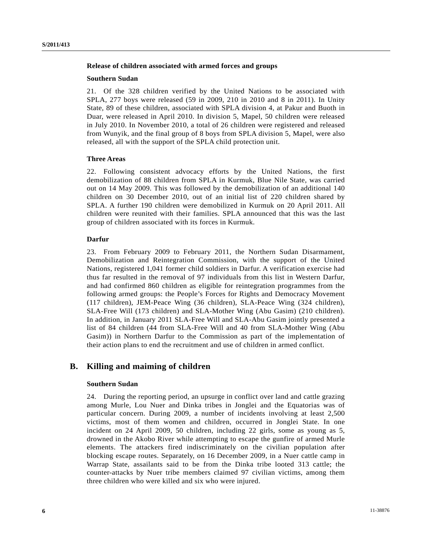### **Release of children associated with armed forces and groups**

#### **Southern Sudan**

21. Of the 328 children verified by the United Nations to be associated with SPLA, 277 boys were released (59 in 2009, 210 in 2010 and 8 in 2011). In Unity State, 89 of these children, associated with SPLA division 4, at Pakur and Buoth in Duar, were released in April 2010. In division 5, Mapel, 50 children were released in July 2010. In November 2010, a total of 26 children were registered and released from Wunyik, and the final group of 8 boys from SPLA division 5, Mapel, were also released, all with the support of the SPLA child protection unit.

#### **Three Areas**

22. Following consistent advocacy efforts by the United Nations, the first demobilization of 88 children from SPLA in Kurmuk, Blue Nile State, was carried out on 14 May 2009. This was followed by the demobilization of an additional 140 children on 30 December 2010, out of an initial list of 220 children shared by SPLA. A further 190 children were demobilized in Kurmuk on 20 April 2011. All children were reunited with their families. SPLA announced that this was the last group of children associated with its forces in Kurmuk.

#### **Darfur**

23. From February 2009 to February 2011, the Northern Sudan Disarmament, Demobilization and Reintegration Commission, with the support of the United Nations, registered 1,041 former child soldiers in Darfur. A verification exercise had thus far resulted in the removal of 97 individuals from this list in Western Darfur, and had confirmed 860 children as eligible for reintegration programmes from the following armed groups: the People's Forces for Rights and Democracy Movement (117 children), JEM-Peace Wing (36 children), SLA-Peace Wing (324 children), SLA-Free Will (173 children) and SLA-Mother Wing (Abu Gasim) (210 children). In addition, in January 2011 SLA-Free Will and SLA-Abu Gasim jointly presented a list of 84 children (44 from SLA-Free Will and 40 from SLA-Mother Wing (Abu Gasim)) in Northern Darfur to the Commission as part of the implementation of their action plans to end the recruitment and use of children in armed conflict.

## **B. Killing and maiming of children**

#### **Southern Sudan**

24. During the reporting period, an upsurge in conflict over land and cattle grazing among Murle, Lou Nuer and Dinka tribes in Jonglei and the Equatorias was of particular concern. During 2009, a number of incidents involving at least 2,500 victims, most of them women and children, occurred in Jonglei State. In one incident on 24 April 2009, 50 children, including 22 girls, some as young as 5, drowned in the Akobo River while attempting to escape the gunfire of armed Murle elements. The attackers fired indiscriminately on the civilian population after blocking escape routes. Separately, on 16 December 2009, in a Nuer cattle camp in Warrap State, assailants said to be from the Dinka tribe looted 313 cattle; the counter-attacks by Nuer tribe members claimed 97 civilian victims, among them three children who were killed and six who were injured.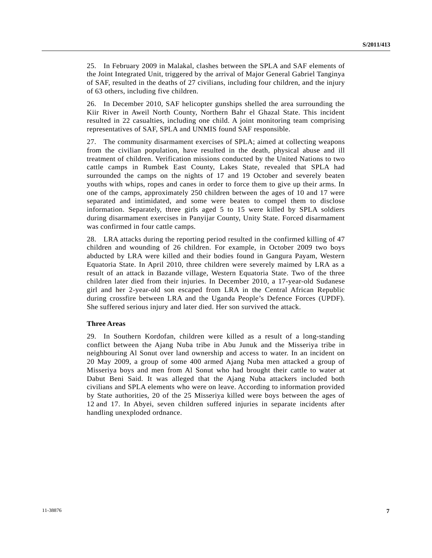25. In February 2009 in Malakal, clashes between the SPLA and SAF elements of the Joint Integrated Unit, triggered by the arrival of Major General Gabriel Tanginya of SAF, resulted in the deaths of 27 civilians, including four children, and the injury of 63 others, including five children.

26. In December 2010, SAF helicopter gunships shelled the area surrounding the Kiir River in Aweil North County, Northern Bahr el Ghazal State. This incident resulted in 22 casualties, including one child. A joint monitoring team comprising representatives of SAF, SPLA and UNMIS found SAF responsible.

27. The community disarmament exercises of SPLA; aimed at collecting weapons from the civilian population, have resulted in the death, physical abuse and ill treatment of children. Verification missions conducted by the United Nations to two cattle camps in Rumbek East County, Lakes State, revealed that SPLA had surrounded the camps on the nights of 17 and 19 October and severely beaten youths with whips, ropes and canes in order to force them to give up their arms. In one of the camps, approximately 250 children between the ages of 10 and 17 were separated and intimidated, and some were beaten to compel them to disclose information. Separately, three girls aged 5 to 15 were killed by SPLA soldiers during disarmament exercises in Panyijar County, Unity State. Forced disarmament was confirmed in four cattle camps.

28. LRA attacks during the reporting period resulted in the confirmed killing of 47 children and wounding of 26 children. For example, in October 2009 two boys abducted by LRA were killed and their bodies found in Gangura Payam, Western Equatoria State. In April 2010, three children were severely maimed by LRA as a result of an attack in Bazande village, Western Equatoria State. Two of the three children later died from their injuries. In December 2010, a 17-year-old Sudanese girl and her 2-year-old son escaped from LRA in the Central African Republic during crossfire between LRA and the Uganda People's Defence Forces (UPDF). She suffered serious injury and later died. Her son survived the attack.

#### **Three Areas**

29. In Southern Kordofan, children were killed as a result of a long-standing conflict between the Ajang Nuba tribe in Abu Junuk and the Misseriya tribe in neighbouring Al Sonut over land ownership and access to water. In an incident on 20 May 2009, a group of some 400 armed Ajang Nuba men attacked a group of Misseriya boys and men from Al Sonut who had brought their cattle to water at Dabut Beni Said. It was alleged that the Ajang Nuba attackers included both civilians and SPLA elements who were on leave. According to information provided by State authorities, 20 of the 25 Misseriya killed were boys between the ages of 12 and 17. In Abyei, seven children suffered injuries in separate incidents after handling unexploded ordnance.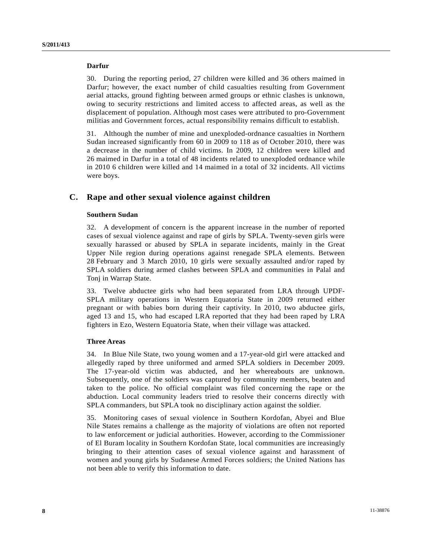#### **Darfur**

30. During the reporting period, 27 children were killed and 36 others maimed in Darfur; however, the exact number of child casualties resulting from Government aerial attacks, ground fighting between armed groups or ethnic clashes is unknown, owing to security restrictions and limited access to affected areas, as well as the displacement of population. Although most cases were attributed to pro-Government militias and Government forces, actual responsibility remains difficult to establish.

31. Although the number of mine and unexploded-ordnance casualties in Northern Sudan increased significantly from 60 in 2009 to 118 as of October 2010, there was a decrease in the number of child victims. In 2009, 12 children were killed and 26 maimed in Darfur in a total of 48 incidents related to unexploded ordnance while in 2010 6 children were killed and 14 maimed in a total of 32 incidents. All victims were boys.

## **C. Rape and other sexual violence against children**

## **Southern Sudan**

32. A development of concern is the apparent increase in the number of reported cases of sexual violence against and rape of girls by SPLA. Twenty-seven girls were sexually harassed or abused by SPLA in separate incidents, mainly in the Great Upper Nile region during operations against renegade SPLA elements. Between 28 February and 3 March 2010, 10 girls were sexually assaulted and/or raped by SPLA soldiers during armed clashes between SPLA and communities in Palal and Tonj in Warrap State.

33. Twelve abductee girls who had been separated from LRA through UPDF-SPLA military operations in Western Equatoria State in 2009 returned either pregnant or with babies born during their captivity. In 2010, two abductee girls, aged 13 and 15, who had escaped LRA reported that they had been raped by LRA fighters in Ezo, Western Equatoria State, when their village was attacked.

#### **Three Areas**

34. In Blue Nile State, two young women and a 17-year-old girl were attacked and allegedly raped by three uniformed and armed SPLA soldiers in December 2009. The 17-year-old victim was abducted, and her whereabouts are unknown. Subsequently, one of the soldiers was captured by community members, beaten and taken to the police. No official complaint was filed concerning the rape or the abduction. Local community leaders tried to resolve their concerns directly with SPLA commanders, but SPLA took no disciplinary action against the soldier.

35. Monitoring cases of sexual violence in Southern Kordofan, Abyei and Blue Nile States remains a challenge as the majority of violations are often not reported to law enforcement or judicial authorities. However, according to the Commissioner of El Buram locality in Southern Kordofan State, local communities are increasingly bringing to their attention cases of sexual violence against and harassment of women and young girls by Sudanese Armed Forces soldiers; the United Nations has not been able to verify this information to date.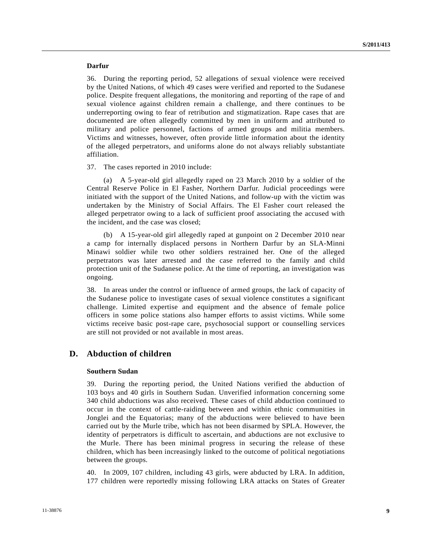### **Darfur**

36. During the reporting period, 52 allegations of sexual violence were received by the United Nations, of which 49 cases were verified and reported to the Sudanese police. Despite frequent allegations, the monitoring and reporting of the rape of and sexual violence against children remain a challenge, and there continues to be underreporting owing to fear of retribution and stigmatization. Rape cases that are documented are often allegedly committed by men in uniform and attributed to military and police personnel, factions of armed groups and militia members. Victims and witnesses, however, often provide little information about the identity of the alleged perpetrators, and uniforms alone do not always reliably substantiate affiliation.

37. The cases reported in 2010 include:

 (a) A 5-year-old girl allegedly raped on 23 March 2010 by a soldier of the Central Reserve Police in El Fasher, Northern Darfur. Judicial proceedings were initiated with the support of the United Nations, and follow-up with the victim was undertaken by the Ministry of Social Affairs. The El Fasher court released the alleged perpetrator owing to a lack of sufficient proof associating the accused with the incident, and the case was closed;

 (b) A 15-year-old girl allegedly raped at gunpoint on 2 December 2010 near a camp for internally displaced persons in Northern Darfur by an SLA-Minni Minawi soldier while two other soldiers restrained her. One of the alleged perpetrators was later arrested and the case referred to the family and child protection unit of the Sudanese police. At the time of reporting, an investigation was ongoing.

38. In areas under the control or influence of armed groups, the lack of capacity of the Sudanese police to investigate cases of sexual violence constitutes a significant challenge. Limited expertise and equipment and the absence of female police officers in some police stations also hamper efforts to assist victims. While some victims receive basic post-rape care, psychosocial support or counselling services are still not provided or not available in most areas.

# **D. Abduction of children**

## **Southern Sudan**

39. During the reporting period, the United Nations verified the abduction of 103 boys and 40 girls in Southern Sudan. Unverified information concerning some 340 child abductions was also received. These cases of child abduction continued to occur in the context of cattle-raiding between and within ethnic communities in Jonglei and the Equatorias; many of the abductions were believed to have been carried out by the Murle tribe, which has not been disarmed by SPLA. However, the identity of perpetrators is difficult to ascertain, and abductions are not exclusive to the Murle. There has been minimal progress in securing the release of these children, which has been increasingly linked to the outcome of political negotiations between the groups.

40. In 2009, 107 children, including 43 girls, were abducted by LRA. In addition, 177 children were reportedly missing following LRA attacks on States of Greater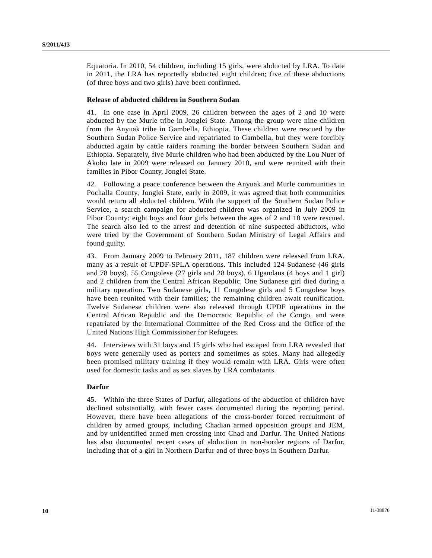Equatoria. In 2010, 54 children, including 15 girls, were abducted by LRA. To date in 2011, the LRA has reportedly abducted eight children; five of these abductions (of three boys and two girls) have been confirmed.

#### **Release of abducted children in Southern Sudan**

41. In one case in April 2009, 26 children between the ages of 2 and 10 were abducted by the Murle tribe in Jonglei State. Among the group were nine children from the Anyuak tribe in Gambella, Ethiopia. These children were rescued by the Southern Sudan Police Service and repatriated to Gambella, but they were forcibly abducted again by cattle raiders roaming the border between Southern Sudan and Ethiopia. Separately, five Murle children who had been abducted by the Lou Nuer of Akobo late in 2009 were released on January 2010, and were reunited with their families in Pibor County, Jonglei State.

42. Following a peace conference between the Anyuak and Murle communities in Pochalla County, Jonglei State, early in 2009, it was agreed that both communities would return all abducted children. With the support of the Southern Sudan Police Service, a search campaign for abducted children was organized in July 2009 in Pibor County; eight boys and four girls between the ages of 2 and 10 were rescued. The search also led to the arrest and detention of nine suspected abductors, who were tried by the Government of Southern Sudan Ministry of Legal Affairs and found guilty.

43. From January 2009 to February 2011, 187 children were released from LRA, many as a result of UPDF-SPLA operations. This included 124 Sudanese (46 girls and 78 boys), 55 Congolese (27 girls and 28 boys), 6 Ugandans (4 boys and 1 girl) and 2 children from the Central African Republic. One Sudanese girl died during a military operation. Two Sudanese girls, 11 Congolese girls and 5 Congolese boys have been reunited with their families; the remaining children await reunification. Twelve Sudanese children were also released through UPDF operations in the Central African Republic and the Democratic Republic of the Congo, and were repatriated by the International Committee of the Red Cross and the Office of the United Nations High Commissioner for Refugees.

44. Interviews with 31 boys and 15 girls who had escaped from LRA revealed that boys were generally used as porters and sometimes as spies. Many had allegedly been promised military training if they would remain with LRA. Girls were often used for domestic tasks and as sex slaves by LRA combatants.

#### **Darfur**

45. Within the three States of Darfur, allegations of the abduction of children have declined substantially, with fewer cases documented during the reporting period. However, there have been allegations of the cross-border forced recruitment of children by armed groups, including Chadian armed opposition groups and JEM, and by unidentified armed men crossing into Chad and Darfur. The United Nations has also documented recent cases of abduction in non-border regions of Darfur, including that of a girl in Northern Darfur and of three boys in Southern Darfur.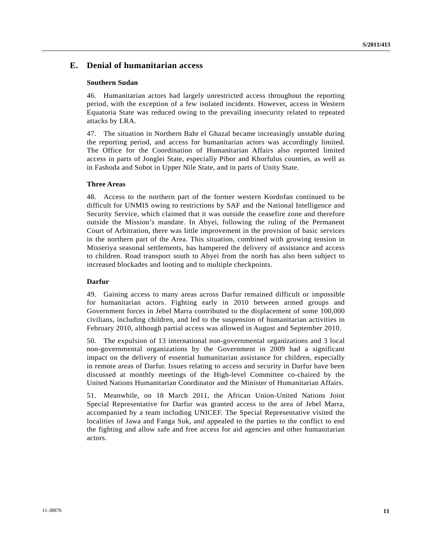## **E. Denial of humanitarian access**

## **Southern Sudan**

46. Humanitarian actors had largely unrestricted access throughout the reporting period, with the exception of a few isolated incidents. However, access in Western Equatoria State was reduced owing to the prevailing insecurity related to repeated attacks by LRA.

47. The situation in Northern Bahr el Ghazal became increasingly unstable during the reporting period, and access for humanitarian actors was accordingly limited. The Office for the Coordination of Humanitarian Affairs also reported limited access in parts of Jonglei State, especially Pibor and Khorfulus counties, as well as in Fashoda and Sobot in Upper Nile State, and in parts of Unity State.

#### **Three Areas**

48. Access to the northern part of the former western Kordofan continued to be difficult for UNMIS owing to restrictions by SAF and the National Intelligence and Security Service, which claimed that it was outside the ceasefire zone and therefore outside the Mission's mandate. In Abyei, following the ruling of the Permanent Court of Arbitration, there was little improvement in the provision of basic services in the northern part of the Area. This situation, combined with growing tension in Misseriya seasonal settlements, has hampered the delivery of assistance and access to children. Road transport south to Abyei from the north has also been subject to increased blockades and looting and to multiple checkpoints.

## **Darfur**

49. Gaining access to many areas across Darfur remained difficult or impossible for humanitarian actors. Fighting early in 2010 between armed groups and Government forces in Jebel Marra contributed to the displacement of some 100,000 civilians, including children, and led to the suspension of humanitarian activities in February 2010, although partial access was allowed in August and September 2010.

50. The expulsion of 13 international non-governmental organizations and 3 local non-governmental organizations by the Government in 2009 had a significant impact on the delivery of essential humanitarian assistance for children, especially in remote areas of Darfur. Issues relating to access and security in Darfur have been discussed at monthly meetings of the High-level Committee co-chaired by the United Nations Humanitarian Coordinator and the Minister of Humanitarian Affairs.

51. Meanwhile, on 18 March 2011, the African Union-United Nations Joint Special Representative for Darfur was granted access to the area of Jebel Marra, accompanied by a team including UNICEF. The Special Representative visited the localities of Jawa and Fanga Suk, and appealed to the parties to the conflict to end the fighting and allow safe and free access for aid agencies and other humanitarian actors.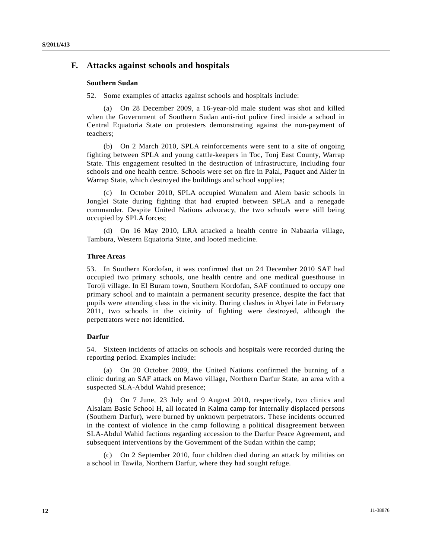## **F. Attacks against schools and hospitals**

### **Southern Sudan**

52. Some examples of attacks against schools and hospitals include:

 (a) On 28 December 2009, a 16-year-old male student was shot and killed when the Government of Southern Sudan anti-riot police fired inside a school in Central Equatoria State on protesters demonstrating against the non-payment of teachers;

 (b) On 2 March 2010, SPLA reinforcements were sent to a site of ongoing fighting between SPLA and young cattle-keepers in Toc, Tonj East County, Warrap State. This engagement resulted in the destruction of infrastructure, including four schools and one health centre. Schools were set on fire in Palal, Paquet and Akier in Warrap State, which destroyed the buildings and school supplies;

 (c) In October 2010, SPLA occupied Wunalem and Alem basic schools in Jonglei State during fighting that had erupted between SPLA and a renegade commander. Despite United Nations advocacy, the two schools were still being occupied by SPLA forces;

 (d) On 16 May 2010, LRA attacked a health centre in Nabaaria village, Tambura, Western Equatoria State, and looted medicine.

#### **Three Areas**

53. In Southern Kordofan, it was confirmed that on 24 December 2010 SAF had occupied two primary schools, one health centre and one medical guesthouse in Toroji village. In El Buram town, Southern Kordofan, SAF continued to occupy one primary school and to maintain a permanent security presence, despite the fact that pupils were attending class in the vicinity. During clashes in Abyei late in February 2011, two schools in the vicinity of fighting were destroyed, although the perpetrators were not identified.

#### **Darfur**

54. Sixteen incidents of attacks on schools and hospitals were recorded during the reporting period. Examples include:

 (a) On 20 October 2009, the United Nations confirmed the burning of a clinic during an SAF attack on Mawo village, Northern Darfur State, an area with a suspected SLA-Abdul Wahid presence;

 (b) On 7 June, 23 July and 9 August 2010, respectively, two clinics and Alsalam Basic School H, all located in Kalma camp for internally displaced persons (Southern Darfur), were burned by unknown perpetrators. These incidents occurred in the context of violence in the camp following a political disagreement between SLA-Abdul Wahid factions regarding accession to the Darfur Peace Agreement, and subsequent interventions by the Government of the Sudan within the camp;

 (c) On 2 September 2010, four children died during an attack by militias on a school in Tawila, Northern Darfur, where they had sought refuge.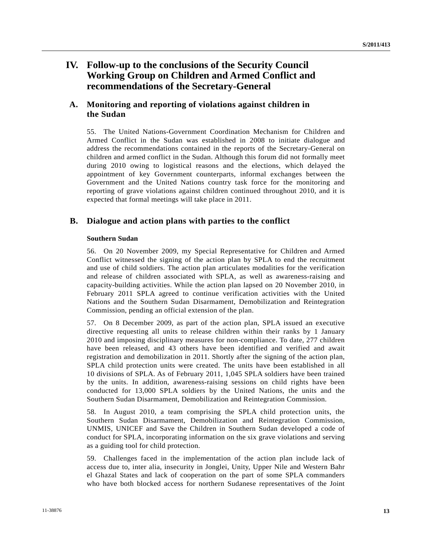# **IV. Follow-up to the conclusions of the Security Council Working Group on Children and Armed Conflict and recommendations of the Secretary-General**

# **A. Monitoring and reporting of violations against children in the Sudan**

55. The United Nations-Government Coordination Mechanism for Children and Armed Conflict in the Sudan was established in 2008 to initiate dialogue and address the recommendations contained in the reports of the Secretary-General on children and armed conflict in the Sudan. Although this forum did not formally meet during 2010 owing to logistical reasons and the elections, which delayed the appointment of key Government counterparts, informal exchanges between the Government and the United Nations country task force for the monitoring and reporting of grave violations against children continued throughout 2010, and it is expected that formal meetings will take place in 2011.

# **B. Dialogue and action plans with parties to the conflict**

## **Southern Sudan**

56. On 20 November 2009, my Special Representative for Children and Armed Conflict witnessed the signing of the action plan by SPLA to end the recruitment and use of child soldiers. The action plan articulates modalities for the verification and release of children associated with SPLA, as well as awareness-raising and capacity-building activities. While the action plan lapsed on 20 November 2010, in February 2011 SPLA agreed to continue verification activities with the United Nations and the Southern Sudan Disarmament, Demobilization and Reintegration Commission, pending an official extension of the plan.

57. On 8 December 2009, as part of the action plan, SPLA issued an executive directive requesting all units to release children within their ranks by 1 January 2010 and imposing disciplinary measures for non-compliance. To date, 277 children have been released, and 43 others have been identified and verified and await registration and demobilization in 2011. Shortly after the signing of the action plan, SPLA child protection units were created. The units have been established in all 10 divisions of SPLA. As of February 2011, 1,045 SPLA soldiers have been trained by the units. In addition, awareness-raising sessions on child rights have been conducted for 13,000 SPLA soldiers by the United Nations, the units and the Southern Sudan Disarmament, Demobilization and Reintegration Commission.

58. In August 2010, a team comprising the SPLA child protection units, the Southern Sudan Disarmament, Demobilization and Reintegration Commission, UNMIS, UNICEF and Save the Children in Southern Sudan developed a code of conduct for SPLA, incorporating information on the six grave violations and serving as a guiding tool for child protection.

59. Challenges faced in the implementation of the action plan include lack of access due to, inter alia, insecurity in Jonglei, Unity, Upper Nile and Western Bahr el Ghazal States and lack of cooperation on the part of some SPLA commanders who have both blocked access for northern Sudanese representatives of the Joint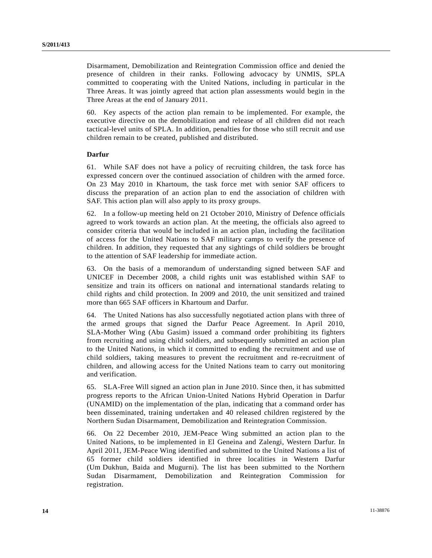Disarmament, Demobilization and Reintegration Commission office and denied the presence of children in their ranks. Following advocacy by UNMIS, SPLA committed to cooperating with the United Nations, including in particular in the Three Areas. It was jointly agreed that action plan assessments would begin in the Three Areas at the end of January 2011.

60. Key aspects of the action plan remain to be implemented. For example, the executive directive on the demobilization and release of all children did not reach tactical-level units of SPLA. In addition, penalties for those who still recruit and use children remain to be created, published and distributed.

## **Darfur**

61. While SAF does not have a policy of recruiting children, the task force has expressed concern over the continued association of children with the armed force. On 23 May 2010 in Khartoum, the task force met with senior SAF officers to discuss the preparation of an action plan to end the association of children with SAF. This action plan will also apply to its proxy groups.

62. In a follow-up meeting held on 21 October 2010, Ministry of Defence officials agreed to work towards an action plan. At the meeting, the officials also agreed to consider criteria that would be included in an action plan, including the facilitation of access for the United Nations to SAF military camps to verify the presence of children. In addition, they requested that any sightings of child soldiers be brought to the attention of SAF leadership for immediate action.

63. On the basis of a memorandum of understanding signed between SAF and UNICEF in December 2008, a child rights unit was established within SAF to sensitize and train its officers on national and international standards relating to child rights and child protection. In 2009 and 2010, the unit sensitized and trained more than 665 SAF officers in Khartoum and Darfur.

64. The United Nations has also successfully negotiated action plans with three of the armed groups that signed the Darfur Peace Agreement. In April 2010, SLA-Mother Wing (Abu Gasim) issued a command order prohibiting its fighters from recruiting and using child soldiers, and subsequently submitted an action plan to the United Nations, in which it committed to ending the recruitment and use of child soldiers, taking measures to prevent the recruitment and re-recruitment of children, and allowing access for the United Nations team to carry out monitoring and verification.

65. SLA-Free Will signed an action plan in June 2010. Since then, it has submitted progress reports to the African Union-United Nations Hybrid Operation in Darfur (UNAMID) on the implementation of the plan, indicating that a command order has been disseminated, training undertaken and 40 released children registered by the Northern Sudan Disarmament, Demobilization and Reintegration Commission.

66. On 22 December 2010, JEM-Peace Wing submitted an action plan to the United Nations, to be implemented in El Geneina and Zalengi, Western Darfur. In April 2011, JEM-Peace Wing identified and submitted to the United Nations a list of 65 former child soldiers identified in three localities in Western Darfur (Um Dukhun, Baida and Mugurni). The list has been submitted to the Northern Sudan Disarmament, Demobilization and Reintegration Commission for registration.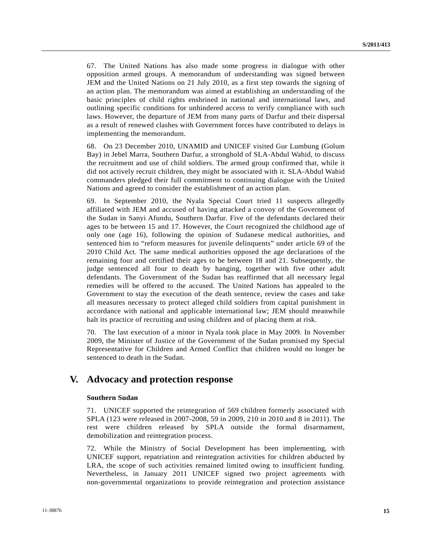67. The United Nations has also made some progress in dialogue with other opposition armed groups. A memorandum of understanding was signed between JEM and the United Nations on 21 July 2010, as a first step towards the signing of an action plan. The memorandum was aimed at establishing an understanding of the basic principles of child rights enshrined in national and international laws, and outlining specific conditions for unhindered access to verify compliance with such laws. However, the departure of JEM from many parts of Darfur and their dispersal as a result of renewed clashes with Government forces have contributed to delays in implementing the memorandum.

68. On 23 December 2010, UNAMID and UNICEF visited Gur Lumbung (Golum Bay) in Jebel Marra, Southern Darfur, a stronghold of SLA-Abdul Wahid, to discuss the recruitment and use of child soldiers. The armed group confirmed that, while it did not actively recruit children, they might be associated with it. SLA-Abdul Wahid commanders pledged their full commitment to continuing dialogue with the United Nations and agreed to consider the establishment of an action plan.

69. In September 2010, the Nyala Special Court tried 11 suspects allegedly affiliated with JEM and accused of having attacked a convoy of the Government of the Sudan in Sanyi Afundu, Southern Darfur. Five of the defendants declared their ages to be between 15 and 17. However, the Court recognized the childhood age of only one (age 16), following the opinion of Sudanese medical authorities, and sentenced him to "reform measures for juvenile delinquents" under article 69 of the 2010 Child Act. The same medical authorities opposed the age declarations of the remaining four and certified their ages to be between 18 and 21. Subsequently, the judge sentenced all four to death by hanging, together with five other adult defendants. The Government of the Sudan has reaffirmed that all necessary legal remedies will be offered to the accused. The United Nations has appealed to the Government to stay the execution of the death sentence, review the cases and take all measures necessary to protect alleged child soldiers from capital punishment in accordance with national and applicable international law; JEM should meanwhile halt its practice of recruiting and using children and of placing them at risk.

70. The last execution of a minor in Nyala took place in May 2009. In November 2009, the Minister of Justice of the Government of the Sudan promised my Special Representative for Children and Armed Conflict that children would no longer be sentenced to death in the Sudan.

# **V. Advocacy and protection response**

#### **Southern Sudan**

71. UNICEF supported the reintegration of 569 children formerly associated with SPLA (123 were released in 2007-2008, 59 in 2009, 210 in 2010 and 8 in 2011). The rest were children released by SPLA outside the formal disarmament, demobilization and reintegration process.

72. While the Ministry of Social Development has been implementing, with UNICEF support, repatriation and reintegration activities for children abducted by LRA, the scope of such activities remained limited owing to insufficient funding. Nevertheless, in January 2011 UNICEF signed two project agreements with non-governmental organizations to provide reintegration and protection assistance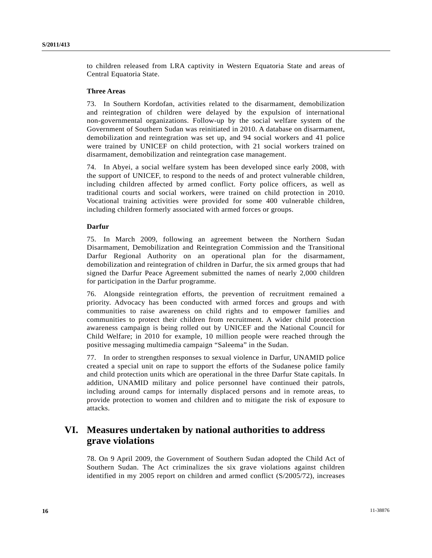to children released from LRA captivity in Western Equatoria State and areas of Central Equatoria State.

#### **Three Areas**

73. In Southern Kordofan, activities related to the disarmament, demobilization and reintegration of children were delayed by the expulsion of international non-governmental organizations. Follow-up by the social welfare system of the Government of Southern Sudan was reinitiated in 2010. A database on disarmament, demobilization and reintegration was set up, and 94 social workers and 41 police were trained by UNICEF on child protection, with 21 social workers trained on disarmament, demobilization and reintegration case management.

74. In Abyei, a social welfare system has been developed since early 2008, with the support of UNICEF, to respond to the needs of and protect vulnerable children, including children affected by armed conflict. Forty police officers, as well as traditional courts and social workers, were trained on child protection in 2010. Vocational training activities were provided for some 400 vulnerable children, including children formerly associated with armed forces or groups.

#### **Darfur**

75. In March 2009, following an agreement between the Northern Sudan Disarmament, Demobilization and Reintegration Commission and the Transitional Darfur Regional Authority on an operational plan for the disarmament, demobilization and reintegration of children in Darfur, the six armed groups that had signed the Darfur Peace Agreement submitted the names of nearly 2,000 children for participation in the Darfur programme.

76. Alongside reintegration efforts, the prevention of recruitment remained a priority. Advocacy has been conducted with armed forces and groups and with communities to raise awareness on child rights and to empower families and communities to protect their children from recruitment. A wider child protection awareness campaign is being rolled out by UNICEF and the National Council for Child Welfare; in 2010 for example, 10 million people were reached through the positive messaging multimedia campaign "Saleema" in the Sudan.

77. In order to strengthen responses to sexual violence in Darfur, UNAMID police created a special unit on rape to support the efforts of the Sudanese police family and child protection units which are operational in the three Darfur State capitals. In addition, UNAMID military and police personnel have continued their patrols, including around camps for internally displaced persons and in remote areas, to provide protection to women and children and to mitigate the risk of exposure to attacks.

# **VI. Measures undertaken by national authorities to address grave violations**

78. On 9 April 2009, the Government of Southern Sudan adopted the Child Act of Southern Sudan. The Act criminalizes the six grave violations against children identified in my 2005 report on children and armed conflict (S/2005/72), increases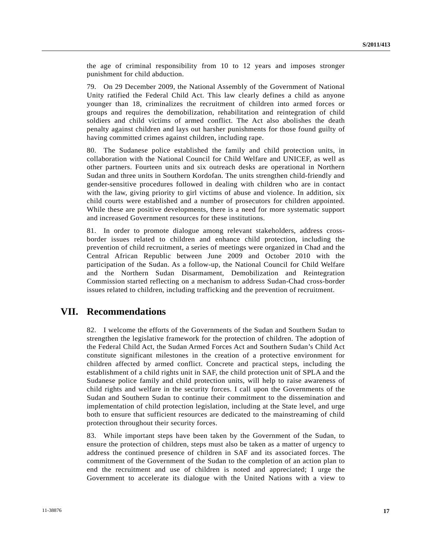the age of criminal responsibility from 10 to 12 years and imposes stronger punishment for child abduction.

79. On 29 December 2009, the National Assembly of the Government of National Unity ratified the Federal Child Act. This law clearly defines a child as anyone younger than 18, criminalizes the recruitment of children into armed forces or groups and requires the demobilization, rehabilitation and reintegration of child soldiers and child victims of armed conflict. The Act also abolishes the death penalty against children and lays out harsher punishments for those found guilty of having committed crimes against children, including rape.

80. The Sudanese police established the family and child protection units, in collaboration with the National Council for Child Welfare and UNICEF, as well as other partners. Fourteen units and six outreach desks are operational in Northern Sudan and three units in Southern Kordofan. The units strengthen child-friendly and gender-sensitive procedures followed in dealing with children who are in contact with the law, giving priority to girl victims of abuse and violence. In addition, six child courts were established and a number of prosecutors for children appointed. While these are positive developments, there is a need for more systematic support and increased Government resources for these institutions.

81. In order to promote dialogue among relevant stakeholders, address crossborder issues related to children and enhance child protection, including the prevention of child recruitment, a series of meetings were organized in Chad and the Central African Republic between June 2009 and October 2010 with the participation of the Sudan. As a follow-up, the National Council for Child Welfare and the Northern Sudan Disarmament, Demobilization and Reintegration Commission started reflecting on a mechanism to address Sudan-Chad cross-border issues related to children, including trafficking and the prevention of recruitment.

# **VII. Recommendations**

82. I welcome the efforts of the Governments of the Sudan and Southern Sudan to strengthen the legislative framework for the protection of children. The adoption of the Federal Child Act, the Sudan Armed Forces Act and Southern Sudan's Child Act constitute significant milestones in the creation of a protective environment for children affected by armed conflict. Concrete and practical steps, including the establishment of a child rights unit in SAF, the child protection unit of SPLA and the Sudanese police family and child protection units, will help to raise awareness of child rights and welfare in the security forces. I call upon the Governments of the Sudan and Southern Sudan to continue their commitment to the dissemination and implementation of child protection legislation, including at the State level, and urge both to ensure that sufficient resources are dedicated to the mainstreaming of child protection throughout their security forces.

83. While important steps have been taken by the Government of the Sudan, to ensure the protection of children, steps must also be taken as a matter of urgency to address the continued presence of children in SAF and its associated forces. The commitment of the Government of the Sudan to the completion of an action plan to end the recruitment and use of children is noted and appreciated; I urge the Government to accelerate its dialogue with the United Nations with a view to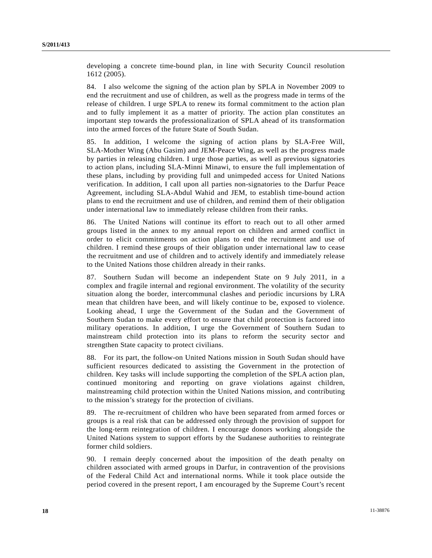developing a concrete time-bound plan, in line with Security Council resolution 1612 (2005).

84. I also welcome the signing of the action plan by SPLA in November 2009 to end the recruitment and use of children, as well as the progress made in terms of the release of children. I urge SPLA to renew its formal commitment to the action plan and to fully implement it as a matter of priority. The action plan constitutes an important step towards the professionalization of SPLA ahead of its transformation into the armed forces of the future State of South Sudan.

85. In addition, I welcome the signing of action plans by SLA-Free Will, SLA-Mother Wing (Abu Gasim) and JEM-Peace Wing, as well as the progress made by parties in releasing children. I urge those parties, as well as previous signatories to action plans, including SLA-Minni Minawi, to ensure the full implementation of these plans, including by providing full and unimpeded access for United Nations verification. In addition, I call upon all parties non-signatories to the Darfur Peace Agreement, including SLA-Abdul Wahid and JEM, to establish time-bound action plans to end the recruitment and use of children, and remind them of their obligation under international law to immediately release children from their ranks.

86. The United Nations will continue its effort to reach out to all other armed groups listed in the annex to my annual report on children and armed conflict in order to elicit commitments on action plans to end the recruitment and use of children. I remind these groups of their obligation under international law to cease the recruitment and use of children and to actively identify and immediately release to the United Nations those children already in their ranks.

87. Southern Sudan will become an independent State on 9 July 2011, in a complex and fragile internal and regional environment. The volatility of the security situation along the border, intercommunal clashes and periodic incursions by LRA mean that children have been, and will likely continue to be, exposed to violence. Looking ahead, I urge the Government of the Sudan and the Government of Southern Sudan to make every effort to ensure that child protection is factored into military operations. In addition, I urge the Government of Southern Sudan to mainstream child protection into its plans to reform the security sector and strengthen State capacity to protect civilians.

88. For its part, the follow-on United Nations mission in South Sudan should have sufficient resources dedicated to assisting the Government in the protection of children. Key tasks will include supporting the completion of the SPLA action plan, continued monitoring and reporting on grave violations against children, mainstreaming child protection within the United Nations mission, and contributing to the mission's strategy for the protection of civilians.

89. The re-recruitment of children who have been separated from armed forces or groups is a real risk that can be addressed only through the provision of support for the long-term reintegration of children. I encourage donors working alongside the United Nations system to support efforts by the Sudanese authorities to reintegrate former child soldiers.

90. I remain deeply concerned about the imposition of the death penalty on children associated with armed groups in Darfur, in contravention of the provisions of the Federal Child Act and international norms. While it took place outside the period covered in the present report, I am encouraged by the Supreme Court's recent